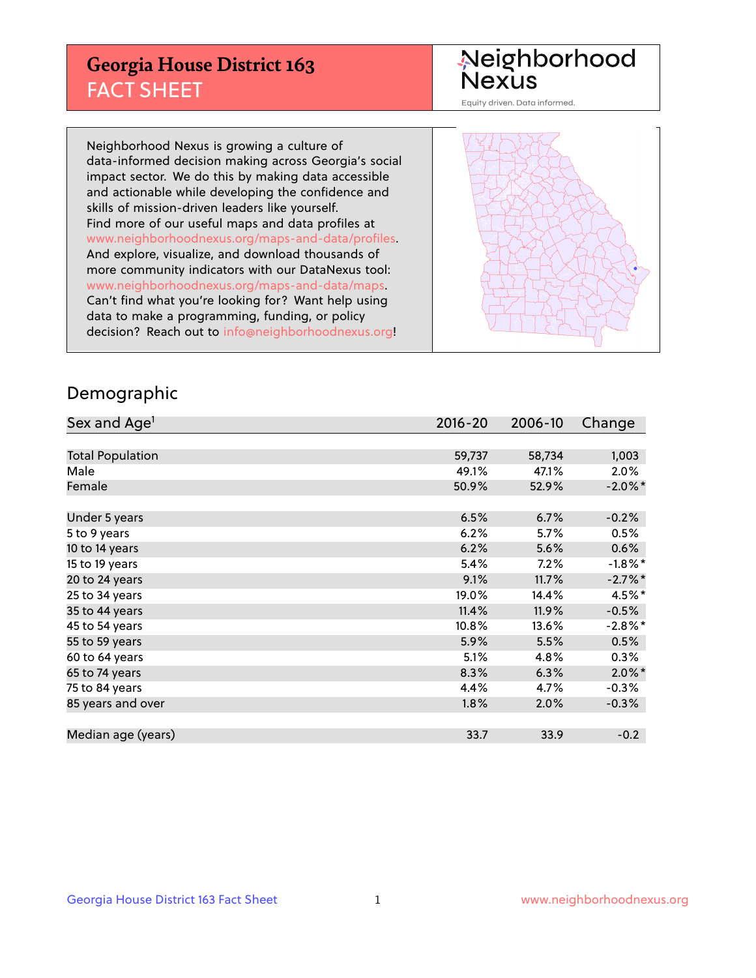## **Georgia House District 163** FACT SHEET

# Neighborhood<br>Nexus

Equity driven. Data informed.

Neighborhood Nexus is growing a culture of data-informed decision making across Georgia's social impact sector. We do this by making data accessible and actionable while developing the confidence and skills of mission-driven leaders like yourself. Find more of our useful maps and data profiles at www.neighborhoodnexus.org/maps-and-data/profiles. And explore, visualize, and download thousands of more community indicators with our DataNexus tool: www.neighborhoodnexus.org/maps-and-data/maps. Can't find what you're looking for? Want help using data to make a programming, funding, or policy decision? Reach out to [info@neighborhoodnexus.org!](mailto:info@neighborhoodnexus.org)



### Demographic

| Sex and Age <sup>1</sup> | $2016 - 20$ | 2006-10 | Change     |
|--------------------------|-------------|---------|------------|
|                          |             |         |            |
| <b>Total Population</b>  | 59,737      | 58,734  | 1,003      |
| Male                     | 49.1%       | 47.1%   | $2.0\%$    |
| Female                   | 50.9%       | 52.9%   | $-2.0\%$ * |
|                          |             |         |            |
| Under 5 years            | 6.5%        | 6.7%    | $-0.2%$    |
| 5 to 9 years             | 6.2%        | 5.7%    | 0.5%       |
| 10 to 14 years           | 6.2%        | 5.6%    | 0.6%       |
| 15 to 19 years           | 5.4%        | 7.2%    | $-1.8\%$ * |
| 20 to 24 years           | 9.1%        | 11.7%   | $-2.7\%$ * |
| 25 to 34 years           | 19.0%       | 14.4%   | $4.5\%$ *  |
| 35 to 44 years           | 11.4%       | 11.9%   | $-0.5%$    |
| 45 to 54 years           | 10.8%       | 13.6%   | $-2.8\%$ * |
| 55 to 59 years           | 5.9%        | 5.5%    | 0.5%       |
| 60 to 64 years           | 5.1%        | 4.8%    | $0.3\%$    |
| 65 to 74 years           | 8.3%        | 6.3%    | $2.0\%$ *  |
| 75 to 84 years           | 4.4%        | 4.7%    | $-0.3%$    |
| 85 years and over        | 1.8%        | 2.0%    | $-0.3%$    |
|                          |             |         |            |
| Median age (years)       | 33.7        | 33.9    | $-0.2$     |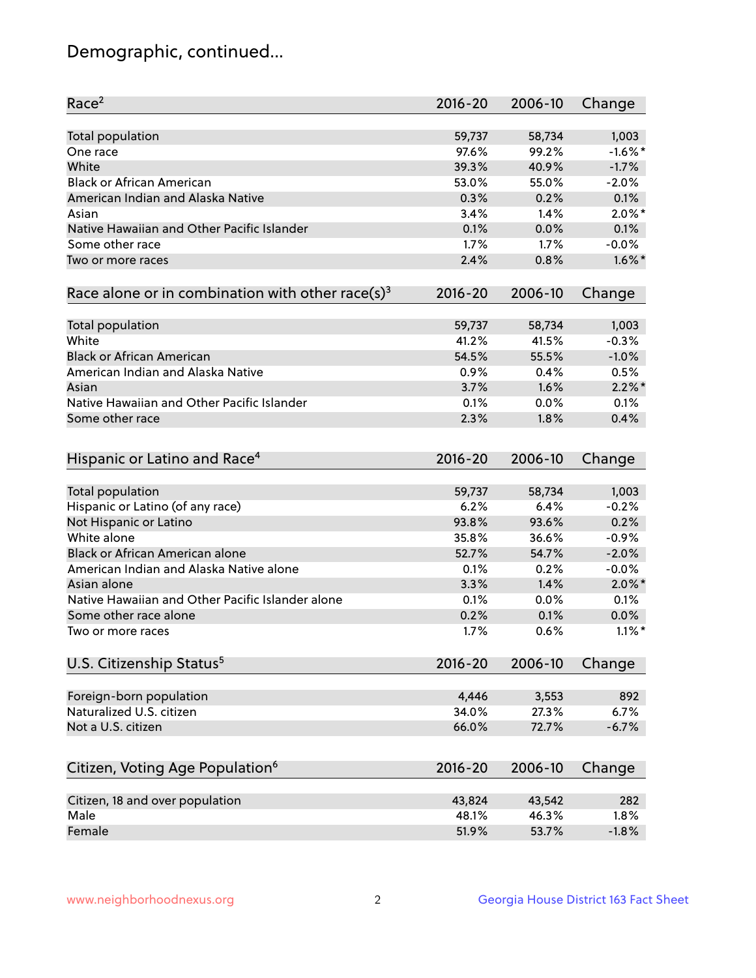## Demographic, continued...

| <b>Total population</b><br>59,737<br>58,734<br>1,003<br>$-1.6\%$ *<br>97.6%<br>99.2%<br>One race<br>White<br>39.3%<br>40.9%<br>$-1.7%$<br><b>Black or African American</b><br>53.0%<br>55.0%<br>$-2.0%$<br>American Indian and Alaska Native<br>0.3%<br>0.2%<br>0.1%<br>$2.0\%$ *<br>3.4%<br>1.4%<br>Asian<br>Native Hawaiian and Other Pacific Islander<br>0.1%<br>0.0%<br>0.1%<br>$-0.0%$<br>Some other race<br>1.7%<br>1.7%<br>2.4%<br>0.8%<br>$1.6\%$ *<br>Two or more races<br>Race alone or in combination with other race(s) <sup>3</sup><br>$2016 - 20$<br>2006-10<br>Change<br>Total population<br>59,737<br>58,734<br>1,003<br>White<br>$-0.3%$<br>41.2%<br>41.5%<br><b>Black or African American</b><br>$-1.0%$<br>54.5%<br>55.5%<br>American Indian and Alaska Native<br>0.4%<br>0.5%<br>0.9%<br>$2.2\%$ *<br>3.7%<br>1.6%<br>Asian<br>Native Hawaiian and Other Pacific Islander<br>0.1%<br>0.0%<br>0.1%<br>2.3%<br>1.8%<br>0.4%<br>Some other race<br>Hispanic or Latino and Race <sup>4</sup><br>$2016 - 20$<br>2006-10<br>Change<br>Total population<br>1,003<br>59,737<br>58,734<br>Hispanic or Latino (of any race)<br>$-0.2%$<br>6.2%<br>6.4%<br>Not Hispanic or Latino<br>0.2%<br>93.8%<br>93.6%<br>White alone<br>35.8%<br>36.6%<br>$-0.9%$<br>Black or African American alone<br>52.7%<br>54.7%<br>$-2.0%$<br>American Indian and Alaska Native alone<br>0.1%<br>0.2%<br>$-0.0%$<br>$2.0\%$ *<br>Asian alone<br>3.3%<br>1.4%<br>Native Hawaiian and Other Pacific Islander alone<br>0.1%<br>0.0%<br>0.1%<br>0.0%<br>Some other race alone<br>0.2%<br>0.1%<br>1.7%<br>0.6%<br>$1.1\%$ *<br>Two or more races<br>U.S. Citizenship Status <sup>5</sup><br>$2016 - 20$<br>2006-10<br>Change |
|---------------------------------------------------------------------------------------------------------------------------------------------------------------------------------------------------------------------------------------------------------------------------------------------------------------------------------------------------------------------------------------------------------------------------------------------------------------------------------------------------------------------------------------------------------------------------------------------------------------------------------------------------------------------------------------------------------------------------------------------------------------------------------------------------------------------------------------------------------------------------------------------------------------------------------------------------------------------------------------------------------------------------------------------------------------------------------------------------------------------------------------------------------------------------------------------------------------------------------------------------------------------------------------------------------------------------------------------------------------------------------------------------------------------------------------------------------------------------------------------------------------------------------------------------------------------------------------------------------------------------------------------------------------------------------------------------------------|
|                                                                                                                                                                                                                                                                                                                                                                                                                                                                                                                                                                                                                                                                                                                                                                                                                                                                                                                                                                                                                                                                                                                                                                                                                                                                                                                                                                                                                                                                                                                                                                                                                                                                                                               |
|                                                                                                                                                                                                                                                                                                                                                                                                                                                                                                                                                                                                                                                                                                                                                                                                                                                                                                                                                                                                                                                                                                                                                                                                                                                                                                                                                                                                                                                                                                                                                                                                                                                                                                               |
|                                                                                                                                                                                                                                                                                                                                                                                                                                                                                                                                                                                                                                                                                                                                                                                                                                                                                                                                                                                                                                                                                                                                                                                                                                                                                                                                                                                                                                                                                                                                                                                                                                                                                                               |
|                                                                                                                                                                                                                                                                                                                                                                                                                                                                                                                                                                                                                                                                                                                                                                                                                                                                                                                                                                                                                                                                                                                                                                                                                                                                                                                                                                                                                                                                                                                                                                                                                                                                                                               |
|                                                                                                                                                                                                                                                                                                                                                                                                                                                                                                                                                                                                                                                                                                                                                                                                                                                                                                                                                                                                                                                                                                                                                                                                                                                                                                                                                                                                                                                                                                                                                                                                                                                                                                               |
|                                                                                                                                                                                                                                                                                                                                                                                                                                                                                                                                                                                                                                                                                                                                                                                                                                                                                                                                                                                                                                                                                                                                                                                                                                                                                                                                                                                                                                                                                                                                                                                                                                                                                                               |
|                                                                                                                                                                                                                                                                                                                                                                                                                                                                                                                                                                                                                                                                                                                                                                                                                                                                                                                                                                                                                                                                                                                                                                                                                                                                                                                                                                                                                                                                                                                                                                                                                                                                                                               |
|                                                                                                                                                                                                                                                                                                                                                                                                                                                                                                                                                                                                                                                                                                                                                                                                                                                                                                                                                                                                                                                                                                                                                                                                                                                                                                                                                                                                                                                                                                                                                                                                                                                                                                               |
|                                                                                                                                                                                                                                                                                                                                                                                                                                                                                                                                                                                                                                                                                                                                                                                                                                                                                                                                                                                                                                                                                                                                                                                                                                                                                                                                                                                                                                                                                                                                                                                                                                                                                                               |
|                                                                                                                                                                                                                                                                                                                                                                                                                                                                                                                                                                                                                                                                                                                                                                                                                                                                                                                                                                                                                                                                                                                                                                                                                                                                                                                                                                                                                                                                                                                                                                                                                                                                                                               |
|                                                                                                                                                                                                                                                                                                                                                                                                                                                                                                                                                                                                                                                                                                                                                                                                                                                                                                                                                                                                                                                                                                                                                                                                                                                                                                                                                                                                                                                                                                                                                                                                                                                                                                               |
|                                                                                                                                                                                                                                                                                                                                                                                                                                                                                                                                                                                                                                                                                                                                                                                                                                                                                                                                                                                                                                                                                                                                                                                                                                                                                                                                                                                                                                                                                                                                                                                                                                                                                                               |
|                                                                                                                                                                                                                                                                                                                                                                                                                                                                                                                                                                                                                                                                                                                                                                                                                                                                                                                                                                                                                                                                                                                                                                                                                                                                                                                                                                                                                                                                                                                                                                                                                                                                                                               |
|                                                                                                                                                                                                                                                                                                                                                                                                                                                                                                                                                                                                                                                                                                                                                                                                                                                                                                                                                                                                                                                                                                                                                                                                                                                                                                                                                                                                                                                                                                                                                                                                                                                                                                               |
|                                                                                                                                                                                                                                                                                                                                                                                                                                                                                                                                                                                                                                                                                                                                                                                                                                                                                                                                                                                                                                                                                                                                                                                                                                                                                                                                                                                                                                                                                                                                                                                                                                                                                                               |
|                                                                                                                                                                                                                                                                                                                                                                                                                                                                                                                                                                                                                                                                                                                                                                                                                                                                                                                                                                                                                                                                                                                                                                                                                                                                                                                                                                                                                                                                                                                                                                                                                                                                                                               |
|                                                                                                                                                                                                                                                                                                                                                                                                                                                                                                                                                                                                                                                                                                                                                                                                                                                                                                                                                                                                                                                                                                                                                                                                                                                                                                                                                                                                                                                                                                                                                                                                                                                                                                               |
|                                                                                                                                                                                                                                                                                                                                                                                                                                                                                                                                                                                                                                                                                                                                                                                                                                                                                                                                                                                                                                                                                                                                                                                                                                                                                                                                                                                                                                                                                                                                                                                                                                                                                                               |
|                                                                                                                                                                                                                                                                                                                                                                                                                                                                                                                                                                                                                                                                                                                                                                                                                                                                                                                                                                                                                                                                                                                                                                                                                                                                                                                                                                                                                                                                                                                                                                                                                                                                                                               |
|                                                                                                                                                                                                                                                                                                                                                                                                                                                                                                                                                                                                                                                                                                                                                                                                                                                                                                                                                                                                                                                                                                                                                                                                                                                                                                                                                                                                                                                                                                                                                                                                                                                                                                               |
|                                                                                                                                                                                                                                                                                                                                                                                                                                                                                                                                                                                                                                                                                                                                                                                                                                                                                                                                                                                                                                                                                                                                                                                                                                                                                                                                                                                                                                                                                                                                                                                                                                                                                                               |
|                                                                                                                                                                                                                                                                                                                                                                                                                                                                                                                                                                                                                                                                                                                                                                                                                                                                                                                                                                                                                                                                                                                                                                                                                                                                                                                                                                                                                                                                                                                                                                                                                                                                                                               |
|                                                                                                                                                                                                                                                                                                                                                                                                                                                                                                                                                                                                                                                                                                                                                                                                                                                                                                                                                                                                                                                                                                                                                                                                                                                                                                                                                                                                                                                                                                                                                                                                                                                                                                               |
|                                                                                                                                                                                                                                                                                                                                                                                                                                                                                                                                                                                                                                                                                                                                                                                                                                                                                                                                                                                                                                                                                                                                                                                                                                                                                                                                                                                                                                                                                                                                                                                                                                                                                                               |
|                                                                                                                                                                                                                                                                                                                                                                                                                                                                                                                                                                                                                                                                                                                                                                                                                                                                                                                                                                                                                                                                                                                                                                                                                                                                                                                                                                                                                                                                                                                                                                                                                                                                                                               |
|                                                                                                                                                                                                                                                                                                                                                                                                                                                                                                                                                                                                                                                                                                                                                                                                                                                                                                                                                                                                                                                                                                                                                                                                                                                                                                                                                                                                                                                                                                                                                                                                                                                                                                               |
|                                                                                                                                                                                                                                                                                                                                                                                                                                                                                                                                                                                                                                                                                                                                                                                                                                                                                                                                                                                                                                                                                                                                                                                                                                                                                                                                                                                                                                                                                                                                                                                                                                                                                                               |
|                                                                                                                                                                                                                                                                                                                                                                                                                                                                                                                                                                                                                                                                                                                                                                                                                                                                                                                                                                                                                                                                                                                                                                                                                                                                                                                                                                                                                                                                                                                                                                                                                                                                                                               |
|                                                                                                                                                                                                                                                                                                                                                                                                                                                                                                                                                                                                                                                                                                                                                                                                                                                                                                                                                                                                                                                                                                                                                                                                                                                                                                                                                                                                                                                                                                                                                                                                                                                                                                               |
|                                                                                                                                                                                                                                                                                                                                                                                                                                                                                                                                                                                                                                                                                                                                                                                                                                                                                                                                                                                                                                                                                                                                                                                                                                                                                                                                                                                                                                                                                                                                                                                                                                                                                                               |
|                                                                                                                                                                                                                                                                                                                                                                                                                                                                                                                                                                                                                                                                                                                                                                                                                                                                                                                                                                                                                                                                                                                                                                                                                                                                                                                                                                                                                                                                                                                                                                                                                                                                                                               |
|                                                                                                                                                                                                                                                                                                                                                                                                                                                                                                                                                                                                                                                                                                                                                                                                                                                                                                                                                                                                                                                                                                                                                                                                                                                                                                                                                                                                                                                                                                                                                                                                                                                                                                               |
| Foreign-born population<br>4,446<br>3,553<br>892                                                                                                                                                                                                                                                                                                                                                                                                                                                                                                                                                                                                                                                                                                                                                                                                                                                                                                                                                                                                                                                                                                                                                                                                                                                                                                                                                                                                                                                                                                                                                                                                                                                              |
| Naturalized U.S. citizen<br>34.0%<br>27.3%<br>6.7%                                                                                                                                                                                                                                                                                                                                                                                                                                                                                                                                                                                                                                                                                                                                                                                                                                                                                                                                                                                                                                                                                                                                                                                                                                                                                                                                                                                                                                                                                                                                                                                                                                                            |
| Not a U.S. citizen<br>$-6.7%$<br>66.0%<br>72.7%                                                                                                                                                                                                                                                                                                                                                                                                                                                                                                                                                                                                                                                                                                                                                                                                                                                                                                                                                                                                                                                                                                                                                                                                                                                                                                                                                                                                                                                                                                                                                                                                                                                               |
|                                                                                                                                                                                                                                                                                                                                                                                                                                                                                                                                                                                                                                                                                                                                                                                                                                                                                                                                                                                                                                                                                                                                                                                                                                                                                                                                                                                                                                                                                                                                                                                                                                                                                                               |
| Citizen, Voting Age Population <sup>6</sup><br>$2016 - 20$<br>Change<br>2006-10                                                                                                                                                                                                                                                                                                                                                                                                                                                                                                                                                                                                                                                                                                                                                                                                                                                                                                                                                                                                                                                                                                                                                                                                                                                                                                                                                                                                                                                                                                                                                                                                                               |
| 282<br>Citizen, 18 and over population<br>43,824<br>43,542                                                                                                                                                                                                                                                                                                                                                                                                                                                                                                                                                                                                                                                                                                                                                                                                                                                                                                                                                                                                                                                                                                                                                                                                                                                                                                                                                                                                                                                                                                                                                                                                                                                    |
| Male<br>48.1%<br>46.3%<br>1.8%                                                                                                                                                                                                                                                                                                                                                                                                                                                                                                                                                                                                                                                                                                                                                                                                                                                                                                                                                                                                                                                                                                                                                                                                                                                                                                                                                                                                                                                                                                                                                                                                                                                                                |
| Female<br>$-1.8%$<br>51.9%<br>53.7%                                                                                                                                                                                                                                                                                                                                                                                                                                                                                                                                                                                                                                                                                                                                                                                                                                                                                                                                                                                                                                                                                                                                                                                                                                                                                                                                                                                                                                                                                                                                                                                                                                                                           |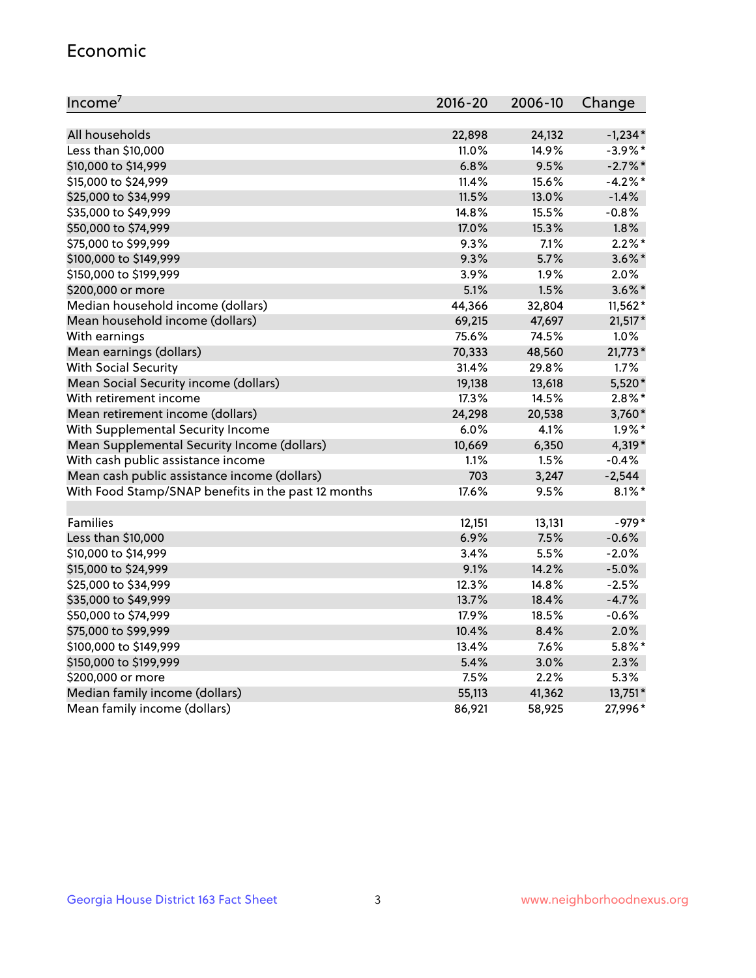#### Economic

| Income <sup>7</sup>                                 | 2016-20 | 2006-10 | Change     |
|-----------------------------------------------------|---------|---------|------------|
|                                                     |         |         |            |
| All households                                      | 22,898  | 24,132  | $-1,234*$  |
| Less than \$10,000                                  | 11.0%   | 14.9%   | $-3.9\%$ * |
| \$10,000 to \$14,999                                | 6.8%    | 9.5%    | $-2.7\%$ * |
| \$15,000 to \$24,999                                | 11.4%   | 15.6%   | $-4.2%$    |
| \$25,000 to \$34,999                                | 11.5%   | 13.0%   | $-1.4%$    |
| \$35,000 to \$49,999                                | 14.8%   | 15.5%   | $-0.8%$    |
| \$50,000 to \$74,999                                | 17.0%   | 15.3%   | 1.8%       |
| \$75,000 to \$99,999                                | 9.3%    | 7.1%    | $2.2\%$ *  |
| \$100,000 to \$149,999                              | 9.3%    | 5.7%    | $3.6\%$ *  |
| \$150,000 to \$199,999                              | 3.9%    | 1.9%    | 2.0%       |
| \$200,000 or more                                   | 5.1%    | 1.5%    | $3.6\%$ *  |
| Median household income (dollars)                   | 44,366  | 32,804  | $11,562*$  |
| Mean household income (dollars)                     | 69,215  | 47,697  | $21,517*$  |
| With earnings                                       | 75.6%   | 74.5%   | 1.0%       |
| Mean earnings (dollars)                             | 70,333  | 48,560  | $21,773*$  |
| <b>With Social Security</b>                         | 31.4%   | 29.8%   | 1.7%       |
| Mean Social Security income (dollars)               | 19,138  | 13,618  | 5,520*     |
| With retirement income                              | 17.3%   | 14.5%   | $2.8\%$ *  |
| Mean retirement income (dollars)                    | 24,298  | 20,538  | 3,760*     |
| With Supplemental Security Income                   | 6.0%    | 4.1%    | $1.9\%$ *  |
| Mean Supplemental Security Income (dollars)         | 10,669  | 6,350   | 4,319*     |
| With cash public assistance income                  | 1.1%    | 1.5%    | $-0.4%$    |
| Mean cash public assistance income (dollars)        | 703     | 3,247   | $-2,544$   |
| With Food Stamp/SNAP benefits in the past 12 months | 17.6%   | 9.5%    | $8.1\%$ *  |
|                                                     |         |         |            |
| Families                                            | 12,151  | 13,131  | $-979*$    |
| Less than \$10,000                                  | 6.9%    | 7.5%    | $-0.6%$    |
| \$10,000 to \$14,999                                | 3.4%    | 5.5%    | $-2.0%$    |
| \$15,000 to \$24,999                                | 9.1%    | 14.2%   | $-5.0%$    |
| \$25,000 to \$34,999                                | 12.3%   | 14.8%   | $-2.5%$    |
| \$35,000 to \$49,999                                | 13.7%   | 18.4%   | $-4.7%$    |
| \$50,000 to \$74,999                                | 17.9%   | 18.5%   | $-0.6%$    |
| \$75,000 to \$99,999                                | 10.4%   | 8.4%    | 2.0%       |
| \$100,000 to \$149,999                              | 13.4%   | 7.6%    | $5.8\%$ *  |
| \$150,000 to \$199,999                              | 5.4%    | 3.0%    | 2.3%       |
| \$200,000 or more                                   | 7.5%    | 2.2%    | 5.3%       |
| Median family income (dollars)                      | 55,113  | 41,362  | 13,751*    |
| Mean family income (dollars)                        | 86,921  | 58,925  | 27,996*    |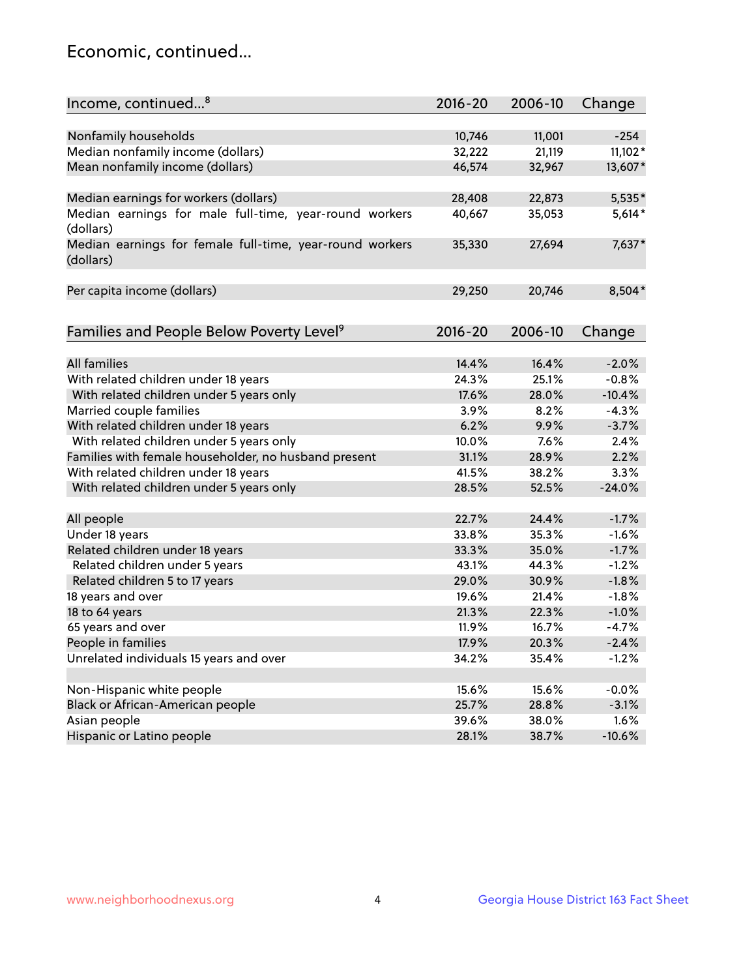## Economic, continued...

| Income, continued <sup>8</sup>                                        | $2016 - 20$ | 2006-10 | Change    |
|-----------------------------------------------------------------------|-------------|---------|-----------|
|                                                                       |             |         |           |
| Nonfamily households                                                  | 10,746      | 11,001  | $-254$    |
| Median nonfamily income (dollars)                                     | 32,222      | 21,119  | $11,102*$ |
| Mean nonfamily income (dollars)                                       | 46,574      | 32,967  | 13,607*   |
| Median earnings for workers (dollars)                                 | 28,408      | 22,873  | 5,535*    |
| Median earnings for male full-time, year-round workers                | 40,667      | 35,053  | $5,614*$  |
| (dollars)                                                             |             |         |           |
| Median earnings for female full-time, year-round workers<br>(dollars) | 35,330      | 27,694  | 7,637*    |
| Per capita income (dollars)                                           | 29,250      | 20,746  | 8,504*    |
|                                                                       |             |         |           |
| Families and People Below Poverty Level <sup>9</sup>                  | $2016 - 20$ | 2006-10 | Change    |
|                                                                       |             |         |           |
| <b>All families</b>                                                   | 14.4%       | 16.4%   | $-2.0%$   |
| With related children under 18 years                                  | 24.3%       | 25.1%   | $-0.8%$   |
| With related children under 5 years only                              | 17.6%       | 28.0%   | $-10.4%$  |
| Married couple families                                               | 3.9%        | 8.2%    | $-4.3%$   |
| With related children under 18 years                                  | 6.2%        | 9.9%    | $-3.7%$   |
| With related children under 5 years only                              | 10.0%       | 7.6%    | 2.4%      |
| Families with female householder, no husband present                  | 31.1%       | 28.9%   | 2.2%      |
| With related children under 18 years                                  | 41.5%       | 38.2%   | 3.3%      |
| With related children under 5 years only                              | 28.5%       | 52.5%   | $-24.0%$  |
| All people                                                            | 22.7%       | 24.4%   | $-1.7%$   |
| Under 18 years                                                        | 33.8%       | 35.3%   | $-1.6%$   |
| Related children under 18 years                                       | 33.3%       | 35.0%   | $-1.7%$   |
| Related children under 5 years                                        | 43.1%       | 44.3%   | $-1.2%$   |
| Related children 5 to 17 years                                        | 29.0%       | 30.9%   | $-1.8%$   |
| 18 years and over                                                     | 19.6%       | 21.4%   | $-1.8%$   |
| 18 to 64 years                                                        | 21.3%       | 22.3%   | $-1.0%$   |
| 65 years and over                                                     | 11.9%       | 16.7%   | $-4.7%$   |
| People in families                                                    | 17.9%       | 20.3%   | $-2.4%$   |
| Unrelated individuals 15 years and over                               | 34.2%       | 35.4%   | $-1.2%$   |
|                                                                       |             |         |           |
| Non-Hispanic white people                                             | 15.6%       | 15.6%   | $-0.0%$   |
| Black or African-American people                                      | 25.7%       | 28.8%   | $-3.1%$   |
| Asian people                                                          | 39.6%       | 38.0%   | 1.6%      |
| Hispanic or Latino people                                             | 28.1%       | 38.7%   | $-10.6%$  |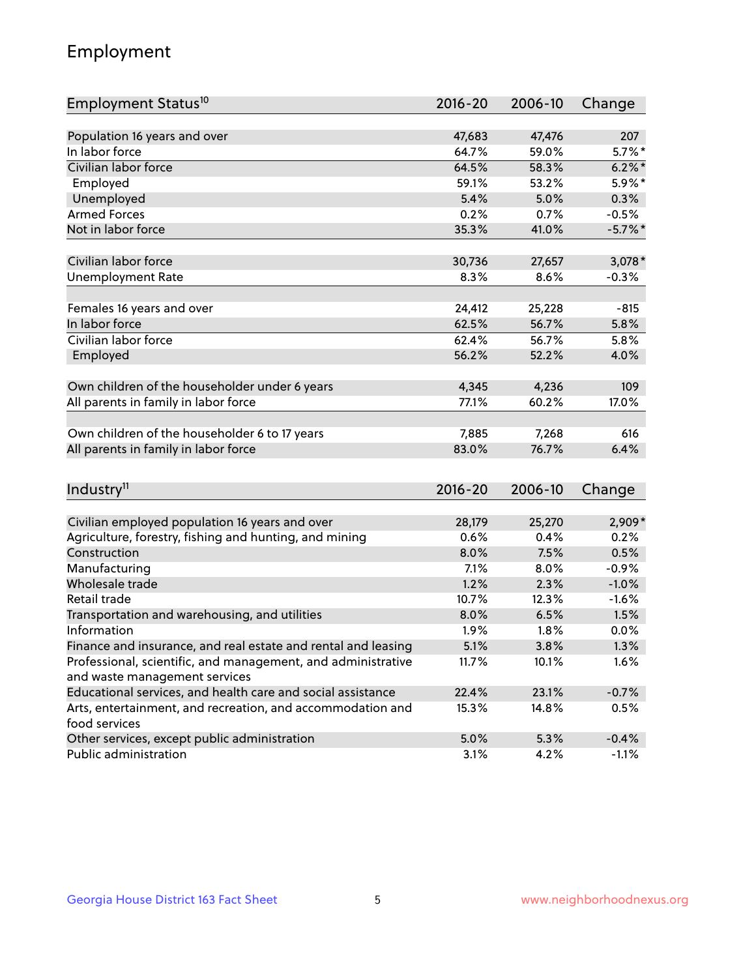## Employment

| Employment Status <sup>10</sup>                                                               | 2016-20     | 2006-10 | Change     |
|-----------------------------------------------------------------------------------------------|-------------|---------|------------|
|                                                                                               |             |         |            |
| Population 16 years and over                                                                  | 47,683      | 47,476  | 207        |
| In labor force                                                                                | 64.7%       | 59.0%   | $5.7\%$ *  |
| Civilian labor force                                                                          | 64.5%       | 58.3%   | $6.2\%$ *  |
| Employed                                                                                      | 59.1%       | 53.2%   | 5.9%*      |
| Unemployed                                                                                    | 5.4%        | 5.0%    | 0.3%       |
| <b>Armed Forces</b>                                                                           | 0.2%        | 0.7%    | $-0.5%$    |
| Not in labor force                                                                            | 35.3%       | 41.0%   | $-5.7\%$ * |
| Civilian labor force                                                                          | 30,736      | 27,657  | $3,078*$   |
| <b>Unemployment Rate</b>                                                                      | 8.3%        | 8.6%    | $-0.3%$    |
|                                                                                               |             |         |            |
| Females 16 years and over                                                                     | 24,412      | 25,228  | $-815$     |
| In labor force                                                                                | 62.5%       | 56.7%   | 5.8%       |
| Civilian labor force                                                                          | 62.4%       | 56.7%   | 5.8%       |
| Employed                                                                                      | 56.2%       | 52.2%   | 4.0%       |
| Own children of the householder under 6 years                                                 | 4,345       | 4,236   | 109        |
| All parents in family in labor force                                                          | 77.1%       | 60.2%   | 17.0%      |
|                                                                                               |             |         |            |
| Own children of the householder 6 to 17 years                                                 | 7,885       | 7,268   | 616        |
| All parents in family in labor force                                                          | 83.0%       | 76.7%   | 6.4%       |
|                                                                                               |             |         |            |
| Industry <sup>11</sup>                                                                        | $2016 - 20$ | 2006-10 | Change     |
|                                                                                               |             |         |            |
| Civilian employed population 16 years and over                                                | 28,179      | 25,270  | 2,909*     |
| Agriculture, forestry, fishing and hunting, and mining                                        | 0.6%        | 0.4%    | 0.2%       |
| Construction                                                                                  | 8.0%        | 7.5%    | 0.5%       |
| Manufacturing                                                                                 | 7.1%        | 8.0%    | $-0.9%$    |
| Wholesale trade                                                                               | 1.2%        | 2.3%    | $-1.0%$    |
| Retail trade                                                                                  | 10.7%       | 12.3%   | $-1.6%$    |
| Transportation and warehousing, and utilities                                                 | 8.0%        | 6.5%    | 1.5%       |
| Information                                                                                   | 1.9%        | 1.8%    | 0.0%       |
| Finance and insurance, and real estate and rental and leasing                                 | 5.1%        | 3.8%    | 1.3%       |
| Professional, scientific, and management, and administrative<br>and waste management services | 11.7%       | 10.1%   | 1.6%       |
| Educational services, and health care and social assistance                                   | 22.4%       | 23.1%   | $-0.7%$    |
| Arts, entertainment, and recreation, and accommodation and                                    | 15.3%       | 14.8%   | 0.5%       |
| food services                                                                                 |             |         |            |
| Other services, except public administration                                                  | 5.0%        | 5.3%    | $-0.4%$    |
| Public administration                                                                         | 3.1%        | 4.2%    | $-1.1%$    |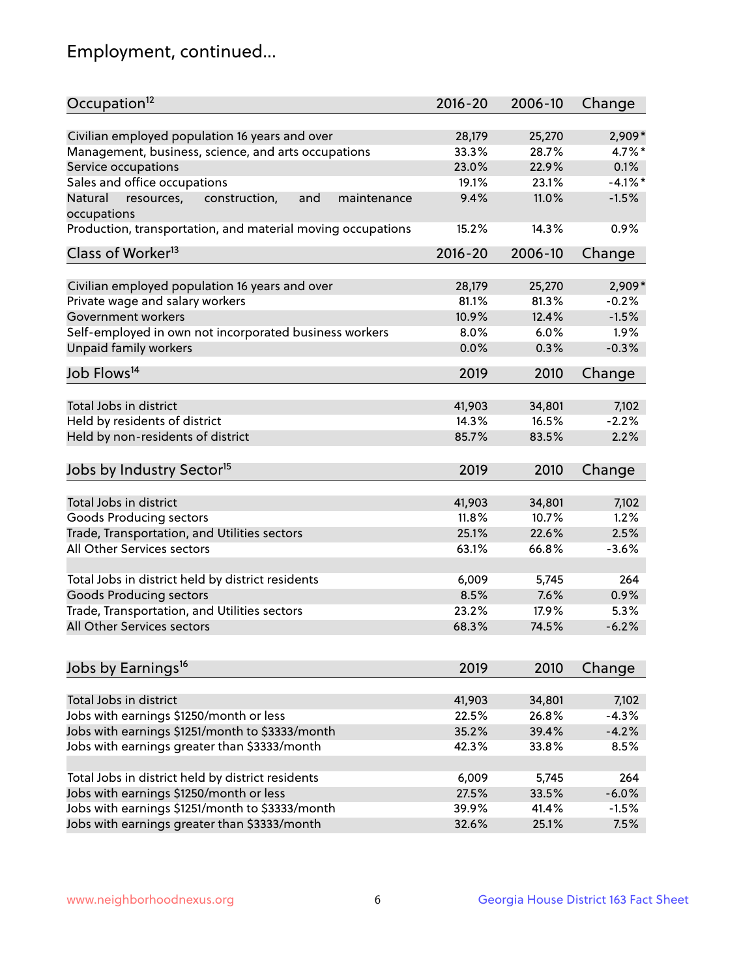## Employment, continued...

| Occupation <sup>12</sup>                                     | $2016 - 20$ | 2006-10 | Change    |
|--------------------------------------------------------------|-------------|---------|-----------|
| Civilian employed population 16 years and over               | 28,179      | 25,270  | 2,909*    |
| Management, business, science, and arts occupations          | 33.3%       | 28.7%   | 4.7%*     |
| Service occupations                                          | 23.0%       | 22.9%   | 0.1%      |
| Sales and office occupations                                 | 19.1%       | 23.1%   | $-4.1%$ * |
| resources,<br>and<br>maintenance<br>Natural<br>construction, | 9.4%        | 11.0%   | $-1.5%$   |
| occupations                                                  |             |         |           |
| Production, transportation, and material moving occupations  | 15.2%       | 14.3%   | 0.9%      |
| Class of Worker <sup>13</sup>                                | 2016-20     | 2006-10 | Change    |
|                                                              |             |         |           |
| Civilian employed population 16 years and over               | 28,179      | 25,270  | $2,909*$  |
| Private wage and salary workers                              | 81.1%       | 81.3%   | $-0.2%$   |
| Government workers                                           | 10.9%       | 12.4%   | $-1.5%$   |
| Self-employed in own not incorporated business workers       | 8.0%        | 6.0%    | 1.9%      |
| Unpaid family workers                                        | 0.0%        | 0.3%    | $-0.3%$   |
| Job Flows <sup>14</sup>                                      | 2019        | 2010    | Change    |
|                                                              |             |         |           |
| Total Jobs in district                                       | 41,903      | 34,801  | 7,102     |
| Held by residents of district                                | 14.3%       | 16.5%   | $-2.2%$   |
| Held by non-residents of district                            | 85.7%       | 83.5%   | 2.2%      |
| Jobs by Industry Sector <sup>15</sup>                        | 2019        | 2010    | Change    |
| Total Jobs in district                                       | 41,903      | 34,801  | 7,102     |
| Goods Producing sectors                                      | 11.8%       | 10.7%   | 1.2%      |
|                                                              | 25.1%       | 22.6%   | 2.5%      |
| Trade, Transportation, and Utilities sectors                 |             |         |           |
| All Other Services sectors                                   | 63.1%       | 66.8%   | $-3.6%$   |
| Total Jobs in district held by district residents            | 6,009       | 5,745   | 264       |
| <b>Goods Producing sectors</b>                               | 8.5%        | 7.6%    | 0.9%      |
| Trade, Transportation, and Utilities sectors                 | 23.2%       | 17.9%   | 5.3%      |
| All Other Services sectors                                   | 68.3%       | 74.5%   | $-6.2%$   |
|                                                              |             |         |           |
| Jobs by Earnings <sup>16</sup>                               | 2019        | 2010    | Change    |
| Total Jobs in district                                       |             |         |           |
|                                                              | 41,903      | 34,801  | 7,102     |
| Jobs with earnings \$1250/month or less                      | 22.5%       | 26.8%   | $-4.3%$   |
| Jobs with earnings \$1251/month to \$3333/month              | 35.2%       | 39.4%   | $-4.2%$   |
| Jobs with earnings greater than \$3333/month                 | 42.3%       | 33.8%   | 8.5%      |
| Total Jobs in district held by district residents            | 6,009       | 5,745   | 264       |
| Jobs with earnings \$1250/month or less                      | 27.5%       | 33.5%   | $-6.0%$   |
| Jobs with earnings \$1251/month to \$3333/month              | 39.9%       | 41.4%   | $-1.5%$   |
| Jobs with earnings greater than \$3333/month                 | 32.6%       | 25.1%   | 7.5%      |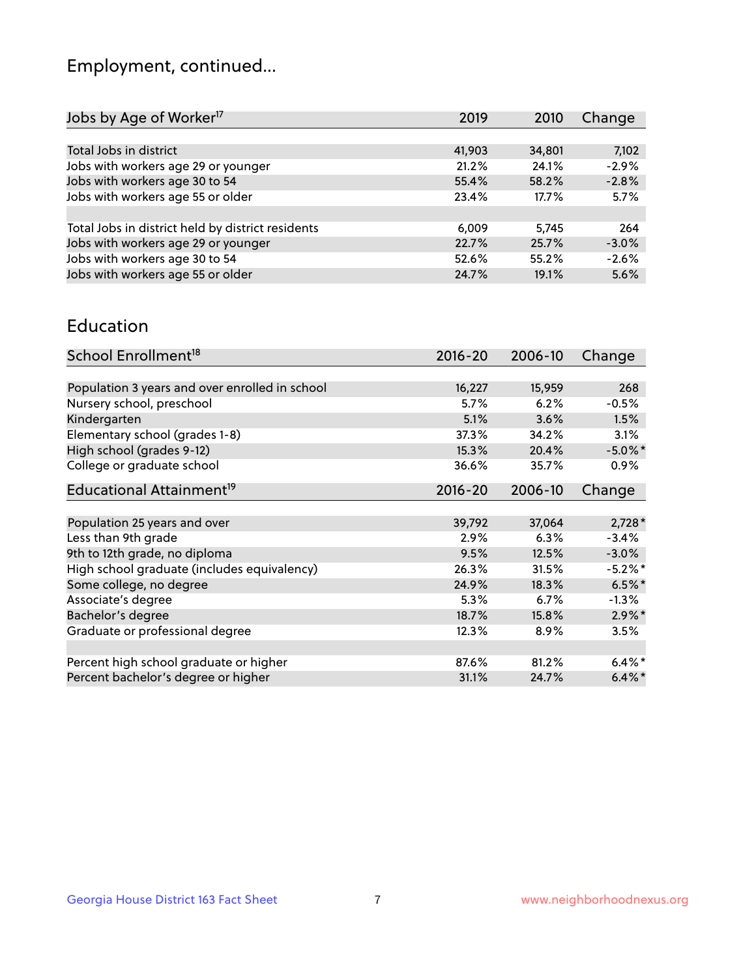## Employment, continued...

| 7,102   |
|---------|
| $-2.9%$ |
| $-2.8%$ |
| 5.7%    |
|         |
| 264     |
| $-3.0%$ |
| $-2.6%$ |
| 5.6%    |
|         |

#### Education

| School Enrollment <sup>18</sup>                | $2016 - 20$ | 2006-10 | Change     |
|------------------------------------------------|-------------|---------|------------|
|                                                |             |         |            |
| Population 3 years and over enrolled in school | 16,227      | 15,959  | 268        |
| Nursery school, preschool                      | 5.7%        | 6.2%    | $-0.5%$    |
| Kindergarten                                   | 5.1%        | 3.6%    | 1.5%       |
| Elementary school (grades 1-8)                 | 37.3%       | 34.2%   | 3.1%       |
| High school (grades 9-12)                      | 15.3%       | 20.4%   | $-5.0\%$ * |
| College or graduate school                     | 36.6%       | 35.7%   | $0.9\%$    |
| Educational Attainment <sup>19</sup>           | $2016 - 20$ | 2006-10 | Change     |
|                                                |             |         |            |
| Population 25 years and over                   | 39,792      | 37,064  | $2,728*$   |
| Less than 9th grade                            | 2.9%        | 6.3%    | $-3.4%$    |
| 9th to 12th grade, no diploma                  | 9.5%        | 12.5%   | $-3.0%$    |
| High school graduate (includes equivalency)    | 26.3%       | 31.5%   | $-5.2\%$ * |
| Some college, no degree                        | 24.9%       | 18.3%   | $6.5%$ *   |
| Associate's degree                             | 5.3%        | 6.7%    | $-1.3%$    |
| Bachelor's degree                              | 18.7%       | 15.8%   | $2.9\%$ *  |
| Graduate or professional degree                | 12.3%       | 8.9%    | 3.5%       |
|                                                |             |         |            |
| Percent high school graduate or higher         | 87.6%       | 81.2%   | $6.4\%*$   |
| Percent bachelor's degree or higher            | 31.1%       | 24.7%   | $6.4\%$ *  |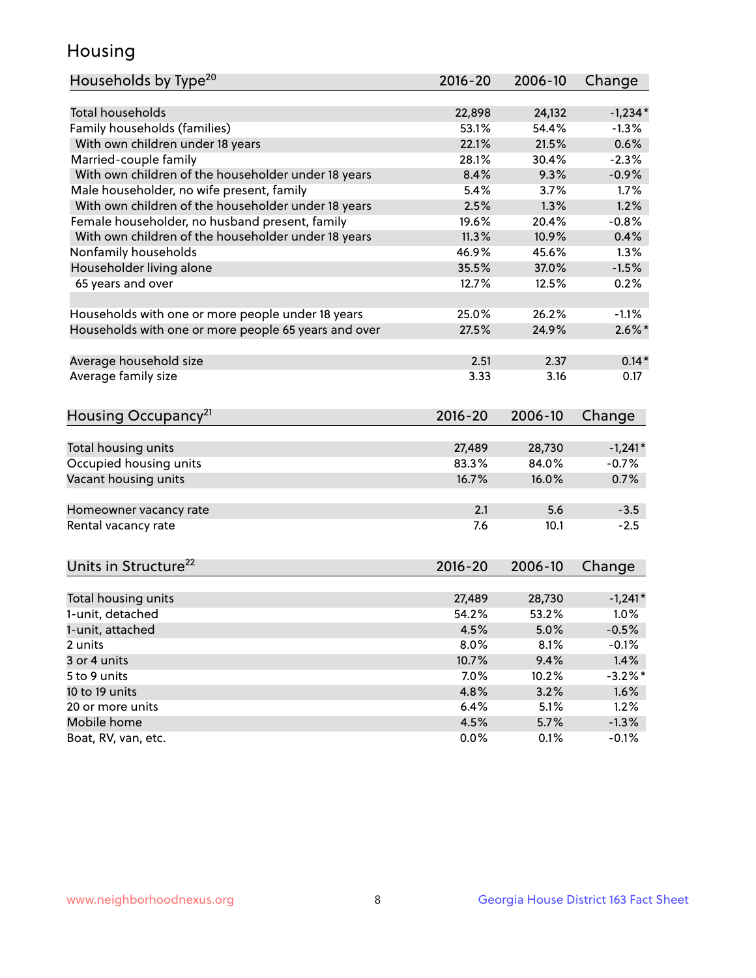## Housing

| Households by Type <sup>20</sup>                     | 2016-20 | 2006-10 | Change     |
|------------------------------------------------------|---------|---------|------------|
|                                                      |         |         |            |
| <b>Total households</b>                              | 22,898  | 24,132  | $-1,234*$  |
| Family households (families)                         | 53.1%   | 54.4%   | $-1.3%$    |
| With own children under 18 years                     | 22.1%   | 21.5%   | 0.6%       |
| Married-couple family                                | 28.1%   | 30.4%   | $-2.3%$    |
| With own children of the householder under 18 years  | 8.4%    | 9.3%    | $-0.9%$    |
| Male householder, no wife present, family            | 5.4%    | 3.7%    | 1.7%       |
| With own children of the householder under 18 years  | 2.5%    | 1.3%    | 1.2%       |
| Female householder, no husband present, family       | 19.6%   | 20.4%   | $-0.8%$    |
| With own children of the householder under 18 years  | 11.3%   | 10.9%   | 0.4%       |
| Nonfamily households                                 | 46.9%   | 45.6%   | 1.3%       |
| Householder living alone                             | 35.5%   | 37.0%   | $-1.5%$    |
| 65 years and over                                    | 12.7%   | 12.5%   | 0.2%       |
|                                                      |         |         |            |
| Households with one or more people under 18 years    | 25.0%   | 26.2%   | $-1.1%$    |
| Households with one or more people 65 years and over | 27.5%   | 24.9%   | $2.6\%$ *  |
|                                                      |         |         |            |
| Average household size                               | 2.51    | 2.37    | $0.14*$    |
| Average family size                                  | 3.33    | 3.16    | 0.17       |
|                                                      |         |         |            |
| Housing Occupancy <sup>21</sup>                      | 2016-20 | 2006-10 | Change     |
|                                                      |         |         |            |
| Total housing units                                  | 27,489  | 28,730  | $-1,241*$  |
| Occupied housing units                               | 83.3%   | 84.0%   | $-0.7%$    |
| Vacant housing units                                 | 16.7%   | 16.0%   | 0.7%       |
|                                                      |         |         |            |
| Homeowner vacancy rate                               | 2.1     | 5.6     | $-3.5$     |
| Rental vacancy rate                                  | 7.6     | 10.1    | $-2.5$     |
|                                                      |         |         |            |
| Units in Structure <sup>22</sup>                     | 2016-20 | 2006-10 | Change     |
|                                                      |         |         |            |
| Total housing units                                  | 27,489  | 28,730  | $-1,241*$  |
| 1-unit, detached                                     | 54.2%   | 53.2%   | 1.0%       |
| 1-unit, attached                                     | 4.5%    | 5.0%    | $-0.5%$    |
| 2 units                                              | 8.0%    | 8.1%    | $-0.1%$    |
| 3 or 4 units                                         | 10.7%   | 9.4%    | 1.4%       |
| 5 to 9 units                                         | 7.0%    | 10.2%   | $-3.2\%$ * |
| 10 to 19 units                                       | 4.8%    | 3.2%    | 1.6%       |
| 20 or more units                                     | 6.4%    | 5.1%    | 1.2%       |
| Mobile home                                          | 4.5%    | 5.7%    | $-1.3%$    |
| Boat, RV, van, etc.                                  | 0.0%    | 0.1%    | $-0.1%$    |
|                                                      |         |         |            |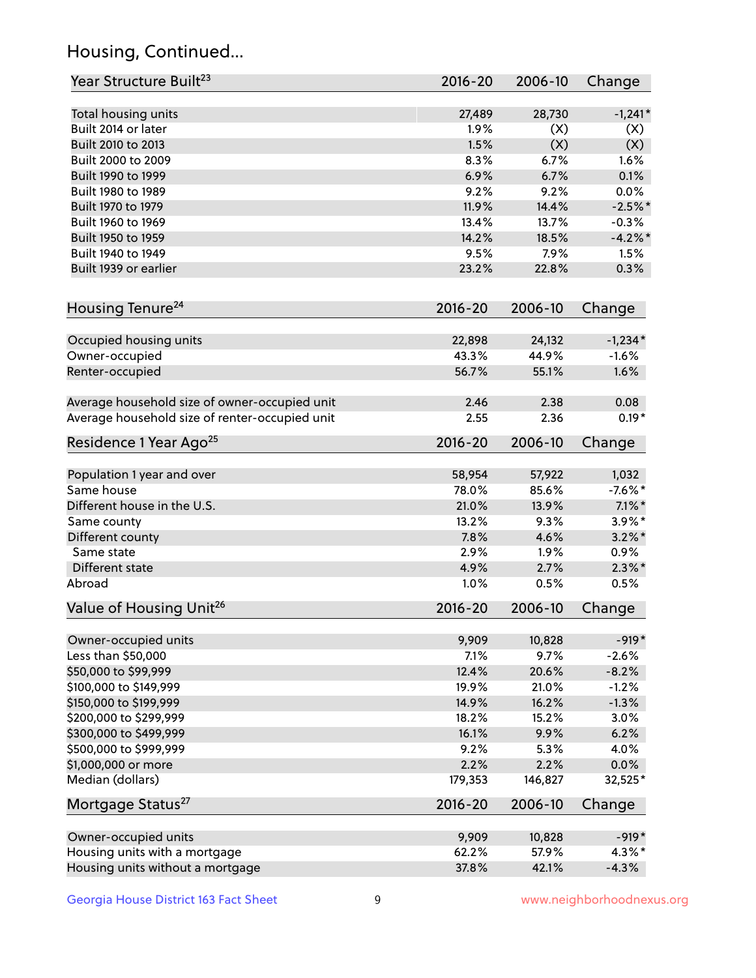## Housing, Continued...

| Year Structure Built <sup>23</sup>             | 2016-20         | 2006-10         | Change               |
|------------------------------------------------|-----------------|-----------------|----------------------|
| Total housing units                            | 27,489          | 28,730          | $-1,241*$            |
| Built 2014 or later                            | 1.9%            | (X)             | (X)                  |
| Built 2010 to 2013                             | 1.5%            | (X)             | (X)                  |
| Built 2000 to 2009                             | 8.3%            | 6.7%            | 1.6%                 |
| Built 1990 to 1999                             | 6.9%            | 6.7%            | 0.1%                 |
| Built 1980 to 1989                             | 9.2%            | 9.2%            | 0.0%                 |
| Built 1970 to 1979                             | 11.9%           | 14.4%           | $-2.5%$ *            |
| Built 1960 to 1969                             | 13.4%           | 13.7%           | $-0.3%$              |
| Built 1950 to 1959                             | 14.2%           | 18.5%           | $-4.2\%$ *           |
| Built 1940 to 1949                             | 9.5%            | 7.9%            | 1.5%                 |
| Built 1939 or earlier                          | 23.2%           | 22.8%           | 0.3%                 |
| Housing Tenure <sup>24</sup>                   | $2016 - 20$     | 2006-10         | Change               |
|                                                |                 |                 |                      |
| Occupied housing units<br>Owner-occupied       | 22,898<br>43.3% | 24,132<br>44.9% | $-1,234*$<br>$-1.6%$ |
| Renter-occupied                                | 56.7%           | 55.1%           | 1.6%                 |
|                                                |                 |                 |                      |
| Average household size of owner-occupied unit  | 2.46            | 2.38            | 0.08                 |
| Average household size of renter-occupied unit | 2.55            | 2.36            | $0.19*$              |
| Residence 1 Year Ago <sup>25</sup>             | $2016 - 20$     | 2006-10         | Change               |
| Population 1 year and over                     | 58,954          | 57,922          | 1,032                |
| Same house                                     | 78.0%           | 85.6%           | $-7.6\%$ *           |
| Different house in the U.S.                    | 21.0%           | 13.9%           | $7.1\%$ *            |
| Same county                                    | 13.2%           | 9.3%            | $3.9\%$ *            |
| Different county                               | 7.8%            | 4.6%            | $3.2\%$ *            |
| Same state                                     | 2.9%            | 1.9%            | 0.9%                 |
| Different state                                | 4.9%            | 2.7%            | $2.3\%*$             |
| Abroad                                         | 1.0%            | 0.5%            | 0.5%                 |
| Value of Housing Unit <sup>26</sup>            | $2016 - 20$     | 2006-10         | Change               |
| Owner-occupied units                           | 9,909           | 10,828          | $-919*$              |
| Less than \$50,000                             | 7.1%            | 9.7%            | $-2.6%$              |
| \$50,000 to \$99,999                           | 12.4%           | 20.6%           | $-8.2%$              |
| \$100,000 to \$149,999                         | 19.9%           | 21.0%           | $-1.2%$              |
| \$150,000 to \$199,999                         | 14.9%           | 16.2%           | $-1.3%$              |
| \$200,000 to \$299,999                         | 18.2%           | 15.2%           | 3.0%                 |
| \$300,000 to \$499,999                         | 16.1%           | 9.9%            | 6.2%                 |
| \$500,000 to \$999,999                         | 9.2%            | 5.3%            | 4.0%                 |
| \$1,000,000 or more                            | 2.2%            | 2.2%            | 0.0%                 |
| Median (dollars)                               | 179,353         | 146,827         | 32,525*              |
| Mortgage Status <sup>27</sup>                  | $2016 - 20$     | 2006-10         | Change               |
|                                                |                 |                 |                      |
| Owner-occupied units                           | 9,909           | 10,828          | $-919*$              |
| Housing units with a mortgage                  | 62.2%           | 57.9%           | $4.3\%$ *            |
| Housing units without a mortgage               | 37.8%           | 42.1%           | $-4.3%$              |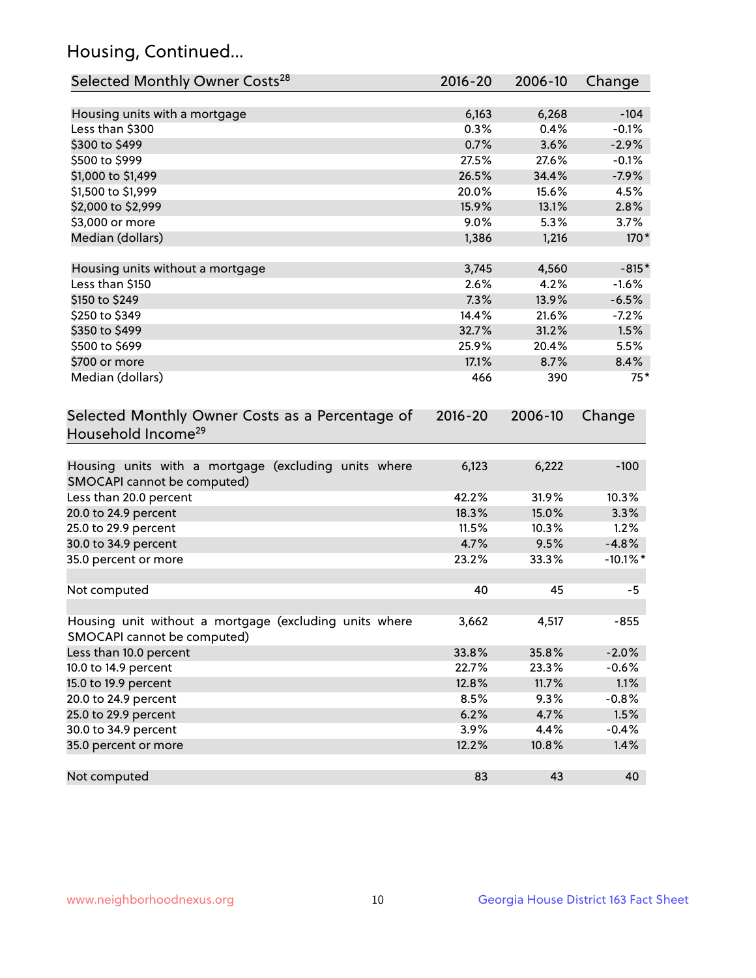## Housing, Continued...

| Selected Monthly Owner Costs <sup>28</sup>                                            | 2016-20 | 2006-10 | Change      |
|---------------------------------------------------------------------------------------|---------|---------|-------------|
| Housing units with a mortgage                                                         | 6,163   | 6,268   | $-104$      |
| Less than \$300                                                                       | 0.3%    | 0.4%    | $-0.1%$     |
| \$300 to \$499                                                                        | 0.7%    | 3.6%    | $-2.9%$     |
| \$500 to \$999                                                                        | 27.5%   | 27.6%   | $-0.1%$     |
| \$1,000 to \$1,499                                                                    | 26.5%   | 34.4%   | $-7.9%$     |
| \$1,500 to \$1,999                                                                    | 20.0%   | 15.6%   | 4.5%        |
| \$2,000 to \$2,999                                                                    | 15.9%   | 13.1%   | 2.8%        |
| \$3,000 or more                                                                       | 9.0%    | 5.3%    | 3.7%        |
| Median (dollars)                                                                      | 1,386   | 1,216   | 170*        |
| Housing units without a mortgage                                                      | 3,745   | 4,560   | $-815*$     |
| Less than \$150                                                                       | 2.6%    | 4.2%    | $-1.6%$     |
| \$150 to \$249                                                                        | 7.3%    | 13.9%   | $-6.5%$     |
| \$250 to \$349                                                                        | 14.4%   | 21.6%   | $-7.2%$     |
| \$350 to \$499                                                                        | 32.7%   | 31.2%   | 1.5%        |
| \$500 to \$699                                                                        | 25.9%   | 20.4%   | 5.5%        |
| \$700 or more                                                                         | 17.1%   | 8.7%    | 8.4%        |
| Median (dollars)                                                                      | 466     | 390     | $75*$       |
| Household Income <sup>29</sup>                                                        |         |         |             |
| Housing units with a mortgage (excluding units where<br>SMOCAPI cannot be computed)   | 6,123   | 6,222   | $-100$      |
| Less than 20.0 percent                                                                | 42.2%   | 31.9%   | 10.3%       |
| 20.0 to 24.9 percent                                                                  | 18.3%   | 15.0%   | 3.3%        |
| 25.0 to 29.9 percent                                                                  | 11.5%   | 10.3%   | 1.2%        |
| 30.0 to 34.9 percent                                                                  | 4.7%    | 9.5%    | $-4.8%$     |
| 35.0 percent or more                                                                  | 23.2%   | 33.3%   | $-10.1\%$ * |
| Not computed                                                                          | 40      | 45      | -5          |
| Housing unit without a mortgage (excluding units where<br>SMOCAPI cannot be computed) | 3,662   | 4,517   | $-855$      |
| Less than 10.0 percent                                                                | 33.8%   | 35.8%   | $-2.0%$     |
| 10.0 to 14.9 percent                                                                  | 22.7%   | 23.3%   | $-0.6%$     |
| 15.0 to 19.9 percent                                                                  | 12.8%   | 11.7%   | 1.1%        |
| 20.0 to 24.9 percent                                                                  | 8.5%    | 9.3%    | $-0.8%$     |
| 25.0 to 29.9 percent                                                                  | 6.2%    | 4.7%    | 1.5%        |
| 30.0 to 34.9 percent                                                                  | 3.9%    | 4.4%    | $-0.4%$     |
| 35.0 percent or more                                                                  | 12.2%   | 10.8%   | 1.4%        |
| Not computed                                                                          | 83      | 43      | 40          |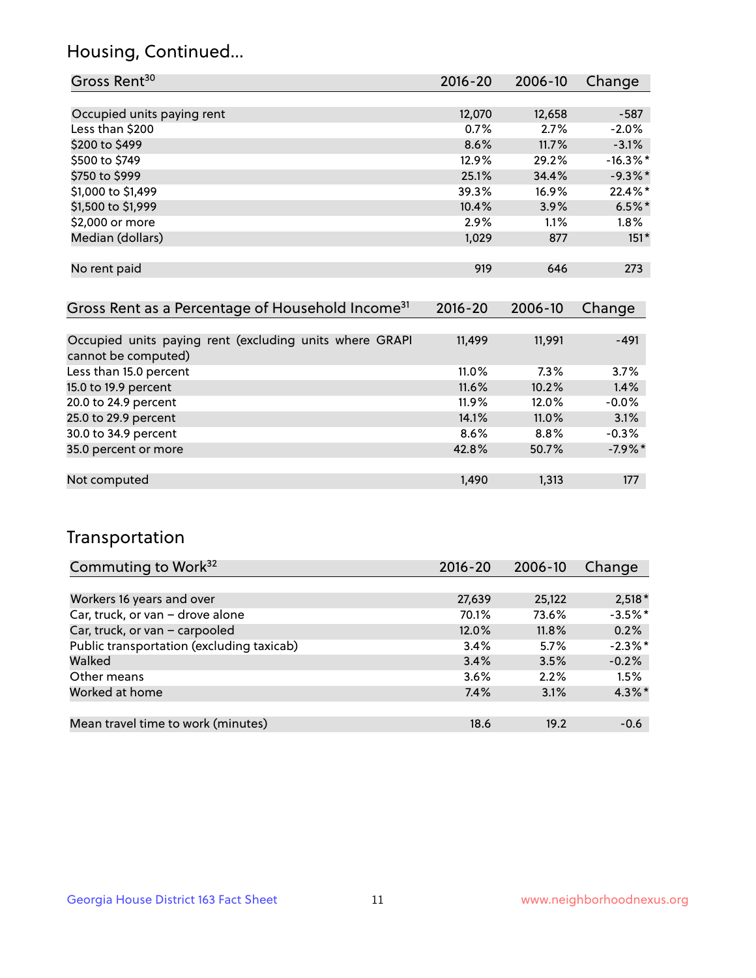## Housing, Continued...

| Gross Rent <sup>30</sup>   | $2016 - 20$ | 2006-10 | Change      |
|----------------------------|-------------|---------|-------------|
|                            |             |         |             |
| Occupied units paying rent | 12,070      | 12,658  | $-587$      |
| Less than \$200            | 0.7%        | 2.7%    | $-2.0%$     |
| \$200 to \$499             | 8.6%        | 11.7%   | $-3.1%$     |
| \$500 to \$749             | 12.9%       | 29.2%   | $-16.3\%$ * |
| \$750 to \$999             | 25.1%       | 34.4%   | $-9.3%$     |
| \$1,000 to \$1,499         | 39.3%       | 16.9%   | 22.4%*      |
| \$1,500 to \$1,999         | 10.4%       | 3.9%    | $6.5%$ *    |
| \$2,000 or more            | 2.9%        | 1.1%    | $1.8\%$     |
| Median (dollars)           | 1,029       | 877     | $151*$      |
|                            |             |         |             |
| No rent paid               | 919         | 646     | 273         |

| Gross Rent as a Percentage of Household Income <sup>31</sup>                   | $2016 - 20$ | 2006-10  | Change    |
|--------------------------------------------------------------------------------|-------------|----------|-----------|
|                                                                                |             |          |           |
| Occupied units paying rent (excluding units where GRAPI<br>cannot be computed) | 11,499      | 11,991   | $-491$    |
| Less than 15.0 percent                                                         | $11.0\%$    | 7.3%     | 3.7%      |
| 15.0 to 19.9 percent                                                           | 11.6%       | 10.2%    | 1.4%      |
| 20.0 to 24.9 percent                                                           | $11.9\%$    | 12.0%    | $-0.0%$   |
| 25.0 to 29.9 percent                                                           | 14.1%       | $11.0\%$ | 3.1%      |
| 30.0 to 34.9 percent                                                           | 8.6%        | $8.8\%$  | $-0.3%$   |
| 35.0 percent or more                                                           | 42.8%       | 50.7%    | $-7.9%$ * |
|                                                                                |             |          |           |
| Not computed                                                                   | 1,490       | 1,313    | 177       |

## Transportation

| Commuting to Work <sup>32</sup>           | 2016-20 | 2006-10 | Change     |
|-------------------------------------------|---------|---------|------------|
|                                           |         |         |            |
| Workers 16 years and over                 | 27,639  | 25,122  | $2,518*$   |
| Car, truck, or van - drove alone          | 70.1%   | 73.6%   | $-3.5%$ *  |
| Car, truck, or van - carpooled            | 12.0%   | 11.8%   | 0.2%       |
| Public transportation (excluding taxicab) | 3.4%    | 5.7%    | $-2.3\%$ * |
| Walked                                    | 3.4%    | 3.5%    | $-0.2%$    |
| Other means                               | 3.6%    | 2.2%    | 1.5%       |
| Worked at home                            | 7.4%    | 3.1%    | $4.3\%$ *  |
|                                           |         |         |            |
| Mean travel time to work (minutes)        | 18.6    | 19.2    | $-0.6$     |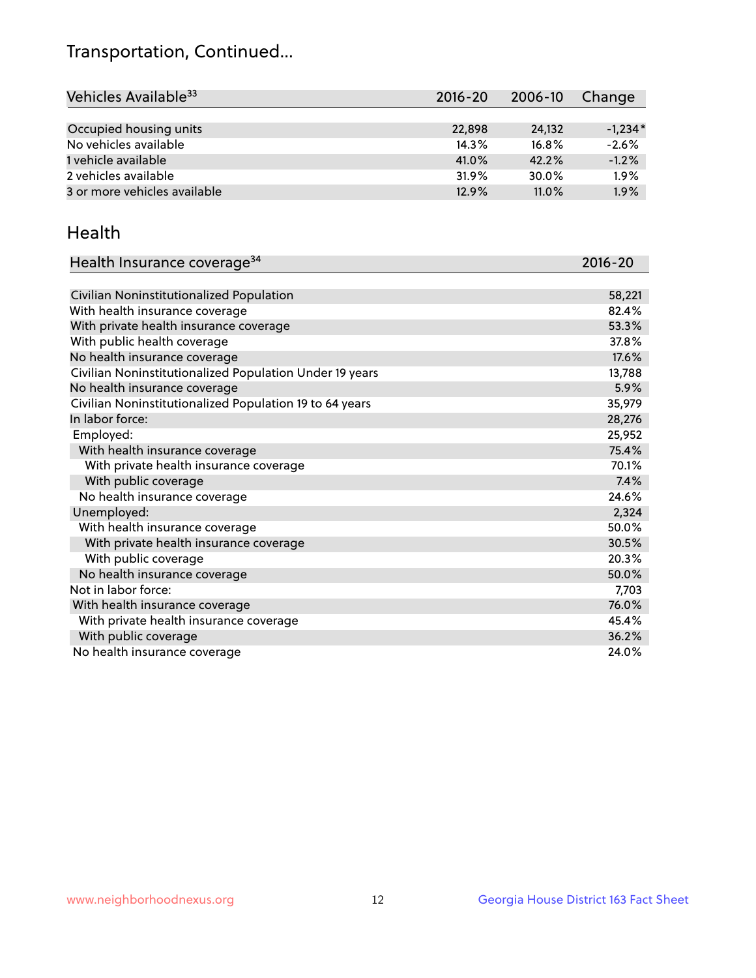## Transportation, Continued...

| Vehicles Available <sup>33</sup> | 2016-20 | 2006-10  | Change    |
|----------------------------------|---------|----------|-----------|
|                                  |         |          |           |
| Occupied housing units           | 22,898  | 24.132   | $-1.234*$ |
| No vehicles available            | 14.3%   | $16.8\%$ | $-2.6%$   |
| 1 vehicle available              | 41.0%   | 42.2%    | $-1.2%$   |
| 2 vehicles available             | 31.9%   | 30.0%    | 1.9%      |
| 3 or more vehicles available     | 12.9%   | 11.0%    | 1.9%      |

#### Health

| Health Insurance coverage <sup>34</sup>                 | 2016-20 |
|---------------------------------------------------------|---------|
|                                                         |         |
| Civilian Noninstitutionalized Population                | 58,221  |
| With health insurance coverage                          | 82.4%   |
| With private health insurance coverage                  | 53.3%   |
| With public health coverage                             | 37.8%   |
| No health insurance coverage                            | 17.6%   |
| Civilian Noninstitutionalized Population Under 19 years | 13,788  |
| No health insurance coverage                            | 5.9%    |
| Civilian Noninstitutionalized Population 19 to 64 years | 35,979  |
| In labor force:                                         | 28,276  |
| Employed:                                               | 25,952  |
| With health insurance coverage                          | 75.4%   |
| With private health insurance coverage                  | 70.1%   |
| With public coverage                                    | 7.4%    |
| No health insurance coverage                            | 24.6%   |
| Unemployed:                                             | 2,324   |
| With health insurance coverage                          | 50.0%   |
| With private health insurance coverage                  | 30.5%   |
| With public coverage                                    | 20.3%   |
| No health insurance coverage                            | 50.0%   |
| Not in labor force:                                     | 7,703   |
| With health insurance coverage                          | 76.0%   |
| With private health insurance coverage                  | 45.4%   |
| With public coverage                                    | 36.2%   |
| No health insurance coverage                            | 24.0%   |